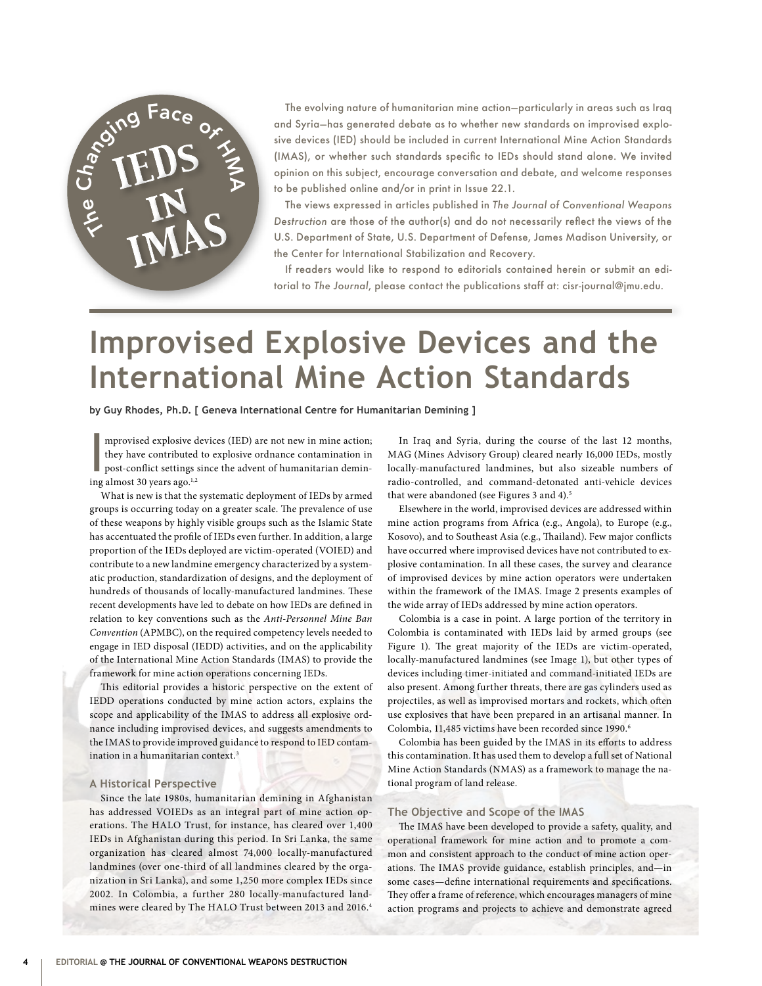

The evolving nature of humanitarian mine action—particularly in areas such as Iraq and Syria—has generated debate as to whether new standards on improvised explosive devices (IED) should be included in current International Mine Action Standards (IMAS), or whether such standards specific to IEDs should stand alone. We invited opinion on this subject, encourage conversation and debate, and welcome responses to be published online and/or in print in Issue 22.1.

The views expressed in articles published in *The Journal of Conventional Weapons Destruction* are those of the author(s) and do not necessarily reflect the views of the U.S. Department of State, U.S. Department of Defense, James Madison University, or the Center for International Stabilization and Recovery.

If readers would like to respond to editorials contained herein or submit an editorial to *The Journal*, please contact the publications staff at: cisr-journal@jmu.edu.

# **Improvised Explosive Devices and the International Mine Action Standards**

**by Guy Rhodes, Ph.D. [ Geneva International Centre for Humanitarian Demining ]**

mprovised explosive  $\alpha$ <br>they have contributed<br>post-conflict settings<br>ing almost 30 years ago.<sup>1,2</sup> mprovised explosive devices (IED) are not new in mine action; they have contributed to explosive ordnance contamination in post-conflict settings since the advent of humanitarian demin-

What is new is that the systematic deployment of IEDs by armed groups is occurring today on a greater scale. The prevalence of use of these weapons by highly visible groups such as the Islamic State has accentuated the profile of IEDs even further. In addition, a large proportion of the IEDs deployed are victim-operated (VOIED) and contribute to a new landmine emergency characterized by a systematic production, standardization of designs, and the deployment of hundreds of thousands of locally-manufactured landmines. These recent developments have led to debate on how IEDs are defined in relation to key conventions such as the *Anti-Personnel Mine Ban Convention* (APMBC), on the required competency levels needed to engage in IED disposal (IEDD) activities, and on the applicability of the International Mine Action Standards (IMAS) to provide the framework for mine action operations concerning IEDs.

This editorial provides a historic perspective on the extent of IEDD operations conducted by mine action actors, explains the scope and applicability of the IMAS to address all explosive ordnance including improvised devices, and suggests amendments to the IMAS to provide improved guidance to respond to IED contamination in a humanitarian context.<sup>3</sup>

#### **A Historical Perspective**

Since the late 1980s, humanitarian demining in Afghanistan has addressed VOIEDs as an integral part of mine action operations. The HALO Trust, for instance, has cleared over 1,400 IEDs in Afghanistan during this period. In Sri Lanka, the same organization has cleared almost 74,000 locally-manufactured landmines (over one-third of all landmines cleared by the organization in Sri Lanka), and some 1,250 more complex IEDs since 2002. In Colombia, a further 280 locally-manufactured landmines were cleared by The HALO Trust between 2013 and 2016.4

In Iraq and Syria, during the course of the last 12 months, MAG (Mines Advisory Group) cleared nearly 16,000 IEDs, mostly locally-manufactured landmines, but also sizeable numbers of radio-controlled, and command-detonated anti-vehicle devices that were abandoned (see Figures 3 and 4).<sup>5</sup>

Elsewhere in the world, improvised devices are addressed within mine action programs from Africa (e.g., Angola), to Europe (e.g., Kosovo), and to Southeast Asia (e.g., Thailand). Few major conflicts have occurred where improvised devices have not contributed to explosive contamination. In all these cases, the survey and clearance of improvised devices by mine action operators were undertaken within the framework of the IMAS. Image 2 presents examples of the wide array of IEDs addressed by mine action operators.

Colombia is a case in point. A large portion of the territory in Colombia is contaminated with IEDs laid by armed groups (see Figure 1). The great majority of the IEDs are victim-operated, locally-manufactured landmines (see Image 1), but other types of devices including timer-initiated and command-initiated IEDs are also present. Among further threats, there are gas cylinders used as projectiles, as well as improvised mortars and rockets, which often use explosives that have been prepared in an artisanal manner. In Colombia, 11,485 victims have been recorded since 1990.6

Colombia has been guided by the IMAS in its efforts to address this contamination. It has used them to develop a full set of National Mine Action Standards (NMAS) as a framework to manage the national program of land release.

#### **The Objective and Scope of the IMAS**

The IMAS have been developed to provide a safety, quality, and operational framework for mine action and to promote a common and consistent approach to the conduct of mine action operations. The IMAS provide guidance, establish principles, and—in some cases—define international requirements and specifications. They offer a frame of reference, which encourages managers of mine action programs and projects to achieve and demonstrate agreed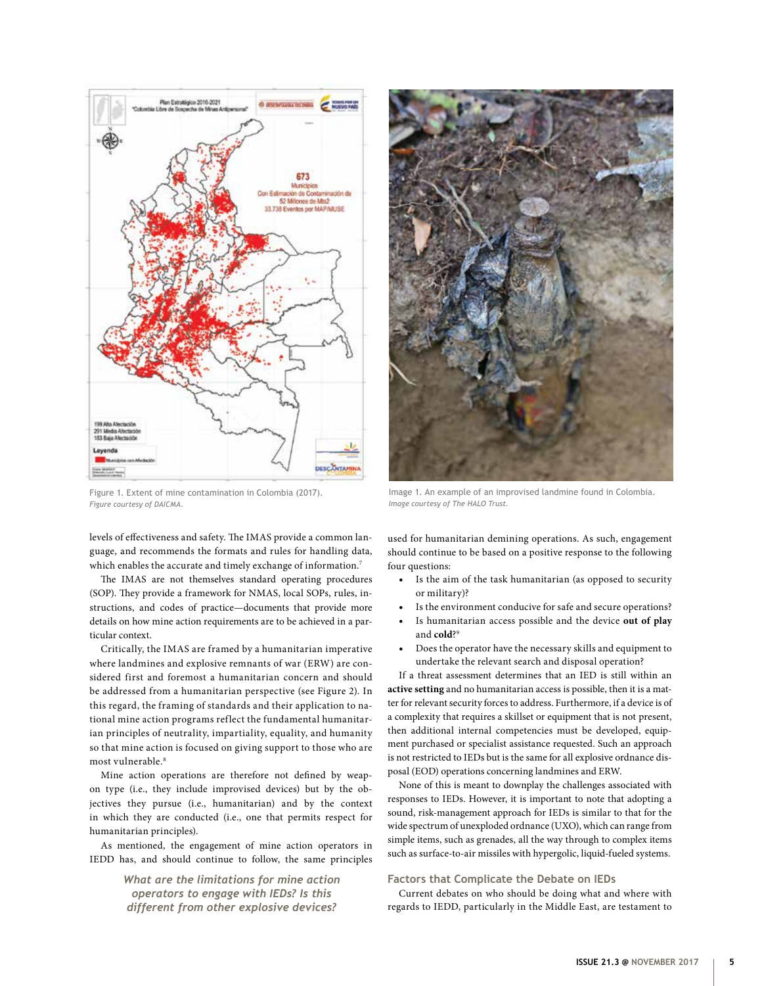

Figure 1. Extent of mine contamination in Colombia (2017). *Figure courtesy of DAICMA.*

levels of effectiveness and safety. The IMAS provide a common language, and recommends the formats and rules for handling data, which enables the accurate and timely exchange of information.<sup>7</sup>

The IMAS are not themselves standard operating procedures (SOP). They provide a framework for NMAS, local SOPs, rules, instructions, and codes of practice—documents that provide more details on how mine action requirements are to be achieved in a particular context.

Critically, the IMAS are framed by a humanitarian imperative where landmines and explosive remnants of war (ERW) are considered first and foremost a humanitarian concern and should be addressed from a humanitarian perspective (see Figure 2). In this regard, the framing of standards and their application to national mine action programs reflect the fundamental humanitarian principles of neutrality, impartiality, equality, and humanity so that mine action is focused on giving support to those who are most vulnerable.8

Mine action operations are therefore not defined by weapon type (i.e., they include improvised devices) but by the objectives they pursue (i.e., humanitarian) and by the context in which they are conducted (i.e., one that permits respect for humanitarian principles).

As mentioned, the engagement of mine action operators in IEDD has, and should continue to follow, the same principles

> *What are the limitations for mine action operators to engage with IEDs? Is this different from other explosive devices?*



Image 1. An example of an improvised landmine found in Colombia. *Image courtesy of The HALO Trust.*

used for humanitarian demining operations. As such, engagement should continue to be based on a positive response to the following four questions:

- Is the aim of the task humanitarian (as opposed to security or military)?
- Is the environment conducive for safe and secure operations?
- Is humanitarian access possible and the device **out of play** and **cold**?9
- Does the operator have the necessary skills and equipment to undertake the relevant search and disposal operation?

If a threat assessment determines that an IED is still within an **active setting** and no humanitarian access is possible, then it is a matter for relevant security forces to address. Furthermore, if a device is of a complexity that requires a skillset or equipment that is not present, then additional internal competencies must be developed, equipment purchased or specialist assistance requested. Such an approach is not restricted to IEDs but is the same for all explosive ordnance disposal (EOD) operations concerning landmines and ERW.

None of this is meant to downplay the challenges associated with responses to IEDs. However, it is important to note that adopting a sound, risk-management approach for IEDs is similar to that for the wide spectrum of unexploded ordnance (UXO), which can range from simple items, such as grenades, all the way through to complex items such as surface-to-air missiles with hypergolic, liquid-fueled systems.

## **Factors that Complicate the Debate on IEDs**

Current debates on who should be doing what and where with regards to IEDD, particularly in the Middle East, are testament to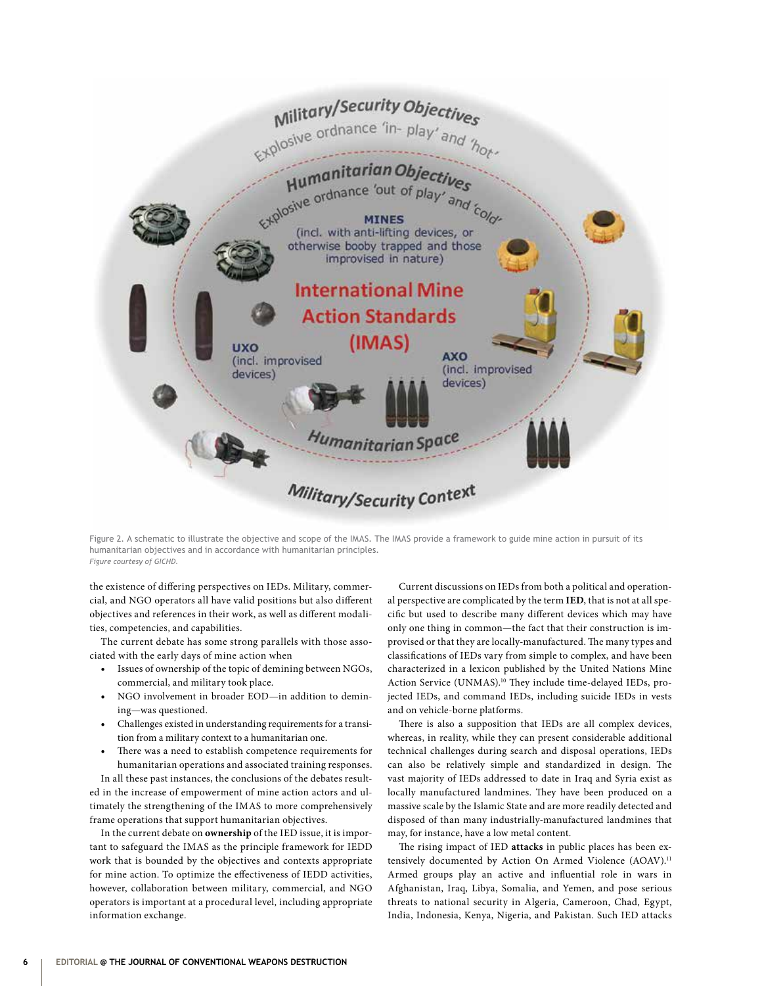

Figure 2. A schematic to illustrate the objective and scope of the IMAS. The IMAS provide a framework to guide mine action in pursuit of its humanitarian objectives and in accordance with humanitarian principles. *Figure courtesy of GICHD.*

the existence of differing perspectives on IEDs. Military, commercial, and NGO operators all have valid positions but also different objectives and references in their work, as well as different modalities, competencies, and capabilities.

The current debate has some strong parallels with those associated with the early days of mine action when

- Issues of ownership of the topic of demining between NGOs, commercial, and military took place.
- NGO involvement in broader EOD—in addition to demining—was questioned.
- Challenges existed in understanding requirements for a transition from a military context to a humanitarian one.
- There was a need to establish competence requirements for humanitarian operations and associated training responses.

In all these past instances, the conclusions of the debates resulted in the increase of empowerment of mine action actors and ultimately the strengthening of the IMAS to more comprehensively frame operations that support humanitarian objectives.

In the current debate on **ownership** of the IED issue, it is important to safeguard the IMAS as the principle framework for IEDD work that is bounded by the objectives and contexts appropriate for mine action. To optimize the effectiveness of IEDD activities, however, collaboration between military, commercial, and NGO operators is important at a procedural level, including appropriate information exchange.

Current discussions on IEDs from both a political and operational perspective are complicated by the term **IED**, that is not at all specific but used to describe many different devices which may have only one thing in common—the fact that their construction is improvised or that they are locally-manufactured. The many types and classifications of IEDs vary from simple to complex, and have been characterized in a lexicon published by the United Nations Mine Action Service (UNMAS).<sup>10</sup> They include time-delayed IEDs, projected IEDs, and command IEDs, including suicide IEDs in vests and on vehicle-borne platforms.

There is also a supposition that IEDs are all complex devices, whereas, in reality, while they can present considerable additional technical challenges during search and disposal operations, IEDs can also be relatively simple and standardized in design. The vast majority of IEDs addressed to date in Iraq and Syria exist as locally manufactured landmines. They have been produced on a massive scale by the Islamic State and are more readily detected and disposed of than many industrially-manufactured landmines that may, for instance, have a low metal content.

The rising impact of IED **attacks** in public places has been extensively documented by Action On Armed Violence (AOAV).<sup>11</sup> Armed groups play an active and influential role in wars in Afghanistan, Iraq, Libya, Somalia, and Yemen, and pose serious threats to national security in Algeria, Cameroon, Chad, Egypt, India, Indonesia, Kenya, Nigeria, and Pakistan. Such IED attacks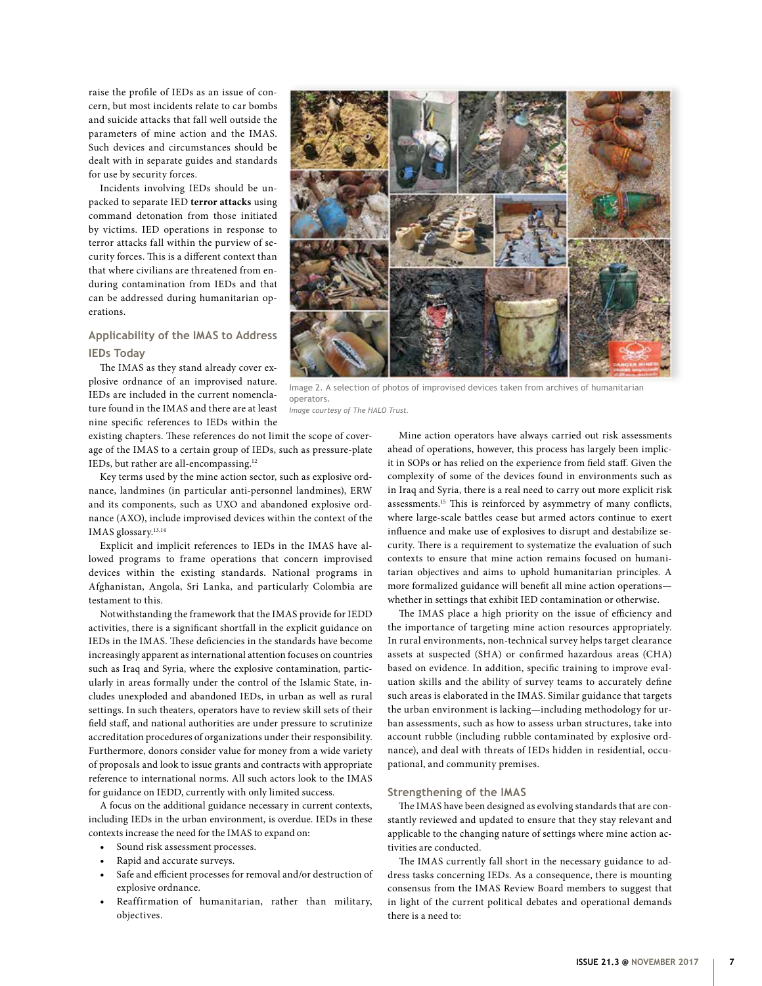raise the profile of IEDs as an issue of concern, but most incidents relate to car bombs and suicide attacks that fall well outside the parameters of mine action and the IMAS. Such devices and circumstances should be dealt with in separate guides and standards for use by security forces.

Incidents involving IEDs should be unpacked to separate IED **terror attacks** using command detonation from those initiated by victims. IED operations in response to terror attacks fall within the purview of security forces. This is a different context than that where civilians are threatened from enduring contamination from IEDs and that can be addressed during humanitarian operations.

# **Applicability of the IMAS to Address IEDs Today**

The IMAS as they stand already cover explosive ordnance of an improvised nature. IEDs are included in the current nomenclature found in the IMAS and there are at least nine specific references to IEDs within the

existing chapters. These references do not limit the scope of coverage of the IMAS to a certain group of IEDs, such as pressure-plate IEDs, but rather are all-encompassing.12

Key terms used by the mine action sector, such as explosive ordnance, landmines (in particular anti-personnel landmines), ERW and its components, such as UXO and abandoned explosive ordnance (AXO), include improvised devices within the context of the IMAS glossary.<sup>13,14</sup>

Explicit and implicit references to IEDs in the IMAS have allowed programs to frame operations that concern improvised devices within the existing standards. National programs in Afghanistan, Angola, Sri Lanka, and particularly Colombia are testament to this.

Notwithstanding the framework that the IMAS provide for IEDD activities, there is a significant shortfall in the explicit guidance on IEDs in the IMAS. These deficiencies in the standards have become increasingly apparent as international attention focuses on countries such as Iraq and Syria, where the explosive contamination, particularly in areas formally under the control of the Islamic State, includes unexploded and abandoned IEDs, in urban as well as rural settings. In such theaters, operators have to review skill sets of their field staff, and national authorities are under pressure to scrutinize accreditation procedures of organizations under their responsibility. Furthermore, donors consider value for money from a wide variety of proposals and look to issue grants and contracts with appropriate reference to international norms. All such actors look to the IMAS for guidance on IEDD, currently with only limited success.

A focus on the additional guidance necessary in current contexts, including IEDs in the urban environment, is overdue. IEDs in these contexts increase the need for the IMAS to expand on:

- Sound risk assessment processes.
- Rapid and accurate surveys.
- Safe and efficient processes for removal and/or destruction of explosive ordnance.
- Reaffirmation of humanitarian, rather than military, objectives.



Image 2. A selection of photos of improvised devices taken from archives of humanitarian operators.

*Image courtesy of The HALO Trust.*

Mine action operators have always carried out risk assessments ahead of operations, however, this process has largely been implicit in SOPs or has relied on the experience from field staff. Given the complexity of some of the devices found in environments such as in Iraq and Syria, there is a real need to carry out more explicit risk assessments.15 This is reinforced by asymmetry of many conflicts, where large-scale battles cease but armed actors continue to exert influence and make use of explosives to disrupt and destabilize security. There is a requirement to systematize the evaluation of such contexts to ensure that mine action remains focused on humanitarian objectives and aims to uphold humanitarian principles. A more formalized guidance will benefit all mine action operations whether in settings that exhibit IED contamination or otherwise.

The IMAS place a high priority on the issue of efficiency and the importance of targeting mine action resources appropriately. In rural environments, non-technical survey helps target clearance assets at suspected (SHA) or confirmed hazardous areas (CHA) based on evidence. In addition, specific training to improve evaluation skills and the ability of survey teams to accurately define such areas is elaborated in the IMAS. Similar guidance that targets the urban environment is lacking—including methodology for urban assessments, such as how to assess urban structures, take into account rubble (including rubble contaminated by explosive ordnance), and deal with threats of IEDs hidden in residential, occupational, and community premises.

# **Strengthening of the IMAS**

The IMAS have been designed as evolving standards that are constantly reviewed and updated to ensure that they stay relevant and applicable to the changing nature of settings where mine action activities are conducted.

The IMAS currently fall short in the necessary guidance to address tasks concerning IEDs. As a consequence, there is mounting consensus from the IMAS Review Board members to suggest that in light of the current political debates and operational demands there is a need to: